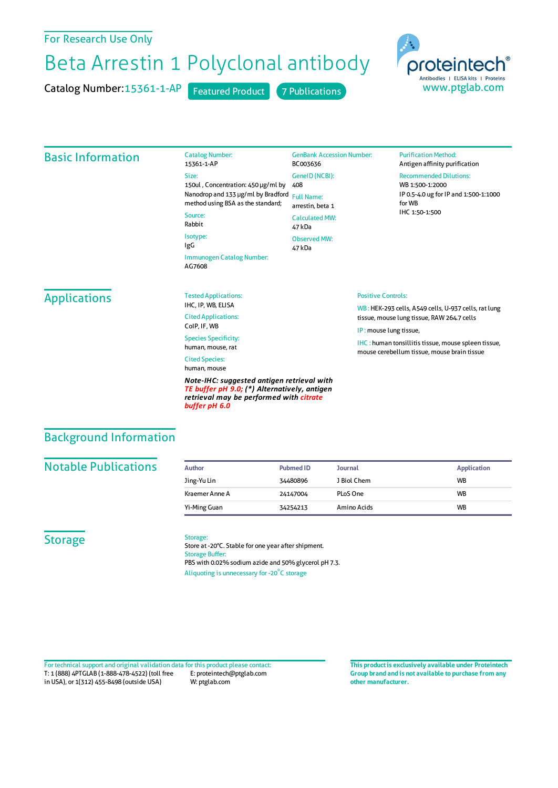# For Research Use Only

# Beta Arrestin 1 Polyclonal antibody

Catalog Number: 15361-1-AP Featured Product 7 Publications



## Basic Information

| <b>Catalog Number:</b>              | GenBar         |
|-------------------------------------|----------------|
| 15361-1-AP                          | BC0036         |
| Size:                               | Genell         |
| 150ul, Concentration: 450 µg/ml by  | 408            |
| Nanodrop and 133 µg/ml by Bradford  | <b>Full Na</b> |
| method using BSA as the standard;   | arrestir       |
| Source:                             | Calcula        |
| Rabbit                              | 47 kDa         |
| Isotype:                            | Observ         |
| IgG                                 | 47 kDa         |
| Immunogen Catalog Number:<br>AG7608 |                |

#### GenBank Accession Number: 03636 eID(NCBI): Name: stin, beta 1 ulated MW: 47 kDa erved MW:

**Purification Method:** Antigen affinity purification

Recommended Dilutions: WB 1:500-1:2000

IP 0.5-4.0 ug forIP and 1:500-1:1000 forWB IHC 1:50-1:500

# **Applications**

Tested Applications: IHC, IP, WB, ELISA Cited Applications: CoIP, IF, WB

Species Specificity: human, mouse, rat Cited Species:

human, mouse

*Note-IHC: suggested antigen retrieval with TE buffer pH 9.0; (\*) Alternatively, antigen retrieval may be performed with citrate buffer pH 6.0*

#### Positive Controls:

WB : HEK-293 cells, A549 cells, U-937 cells, rat lung tissue, mouse lung tissue, RAW264.7 cells

IP : mouse lung tissue,

IHC : human tonsillitis tissue, mouse spleen tissue, mouse cerebellum tissue, mouse brain tissue

# Background Information

## **Notable Publications**

| Author         | Pubmed ID | <b>Journal</b> | <b>Application</b> |
|----------------|-----------|----------------|--------------------|
| Jing-Yu Lin    | 34480896  | J Biol Chem    | <b>WB</b>          |
| Kraemer Anne A | 24147004  | PLoS One       | <b>WB</b>          |
| Yi-Ming Guan   | 34254213  | Amino Acids    | <b>WB</b>          |

# **Storage**

#### Storage:

Store at -20°C. Stable for one year after shipment. Storage Buffer: PBS with 0.02% sodium azide and 50% glycerol pH 7.3. Aliquoting is unnecessary for -20<sup>°</sup>C storage

T: 1 (888) 4PTGLAB (1-888-478-4522) (toll free in USA), or 1(312) 455-8498 (outside USA) E: proteintech@ptglab.com W: ptglab.com Fortechnical support and original validation data forthis product please contact: **This productis exclusively available under Proteintech**

**Group brand and is not available to purchase from any other manufacturer.**